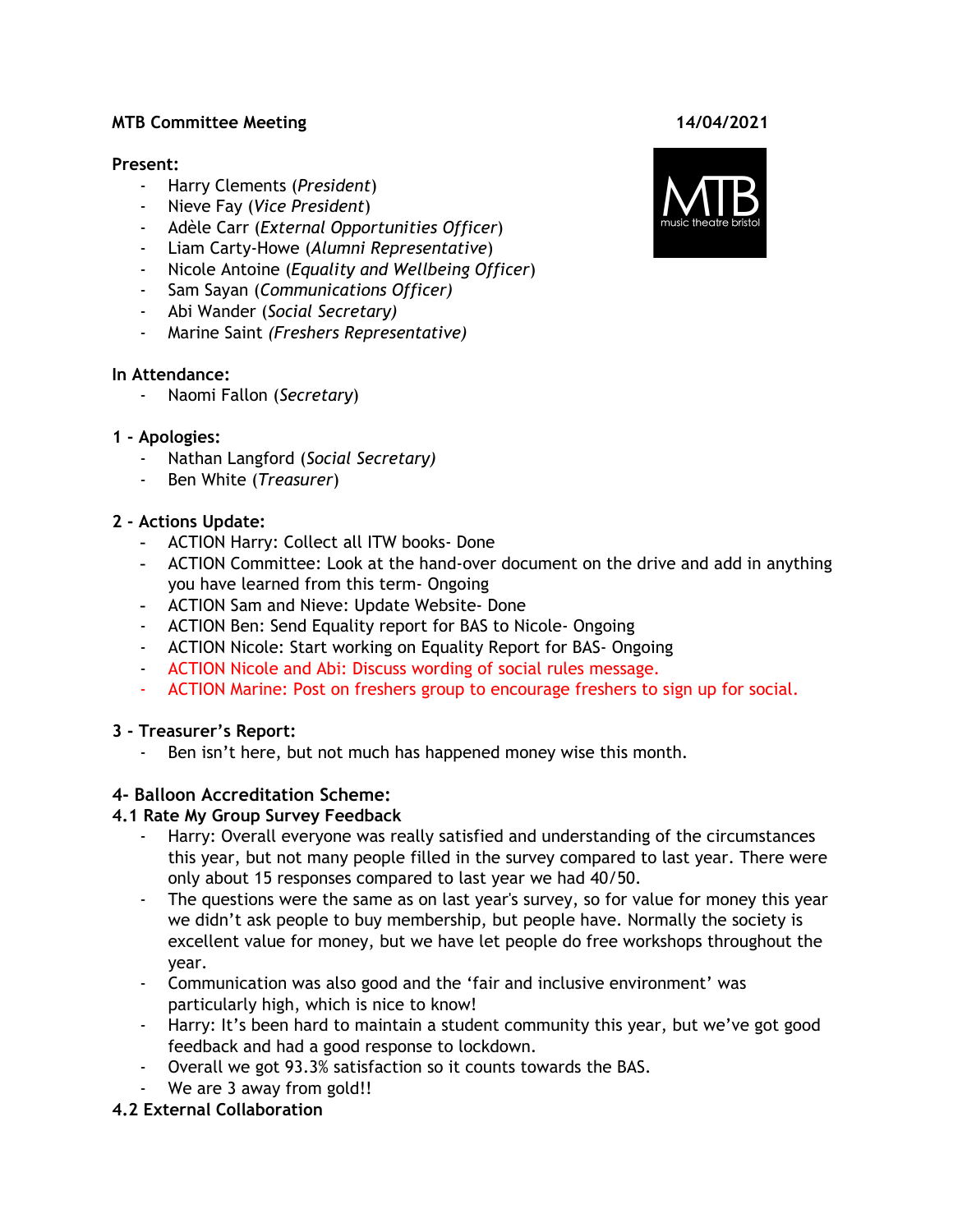## **MTB Committee Meeting 14/04/2021**

#### **Present:**

- Harry Clements (*President*)
- Nieve Fay (*Vice President*)
- Adèle Carr (*External Opportunities Officer*)
- Liam Carty-Howe (*Alumni Representative*)
- Nicole Antoine (*Equality and Wellbeing Officer*)
- Sam Sayan (*Communications Officer)*
- Abi Wander (*Social Secretary)*
- *-* Marine Saint *(Freshers Representative)*

#### **In Attendance:**

- Naomi Fallon (*Secretary*)

#### **1 - Apologies:**

- Nathan Langford (*Social Secretary)*
- Ben White (*Treasurer*)

## **2 - Actions Update:**

- ACTION Harry: Collect all ITW books- Done
- ACTION Committee: Look at the hand-over document on the drive and add in anything you have learned from this term- Ongoing
- ACTION Sam and Nieve: Update Website- Done
- ACTION Ben: Send Equality report for BAS to Nicole- Ongoing
- ACTION Nicole: Start working on Equality Report for BAS- Ongoing
- ACTION Nicole and Abi: Discuss wording of social rules message.
- ACTION Marine: Post on freshers group to encourage freshers to sign up for social.

## **3 - Treasurer's Report:**

- Ben isn't here, but not much has happened money wise this month.

## **4- Balloon Accreditation Scheme:**

## **4.1 Rate My Group Survey Feedback**

- Harry: Overall everyone was really satisfied and understanding of the circumstances this year, but not many people filled in the survey compared to last year. There were only about 15 responses compared to last year we had 40/50.
- The questions were the same as on last year's survey, so for value for money this year we didn't ask people to buy membership, but people have. Normally the society is excellent value for money, but we have let people do free workshops throughout the year.
- Communication was also good and the 'fair and inclusive environment' was particularly high, which is nice to know!
- Harry: It's been hard to maintain a student community this year, but we've got good feedback and had a good response to lockdown.
- Overall we got 93.3% satisfaction so it counts towards the BAS.
- We are 3 away from gold!!
- **4.2 External Collaboration**

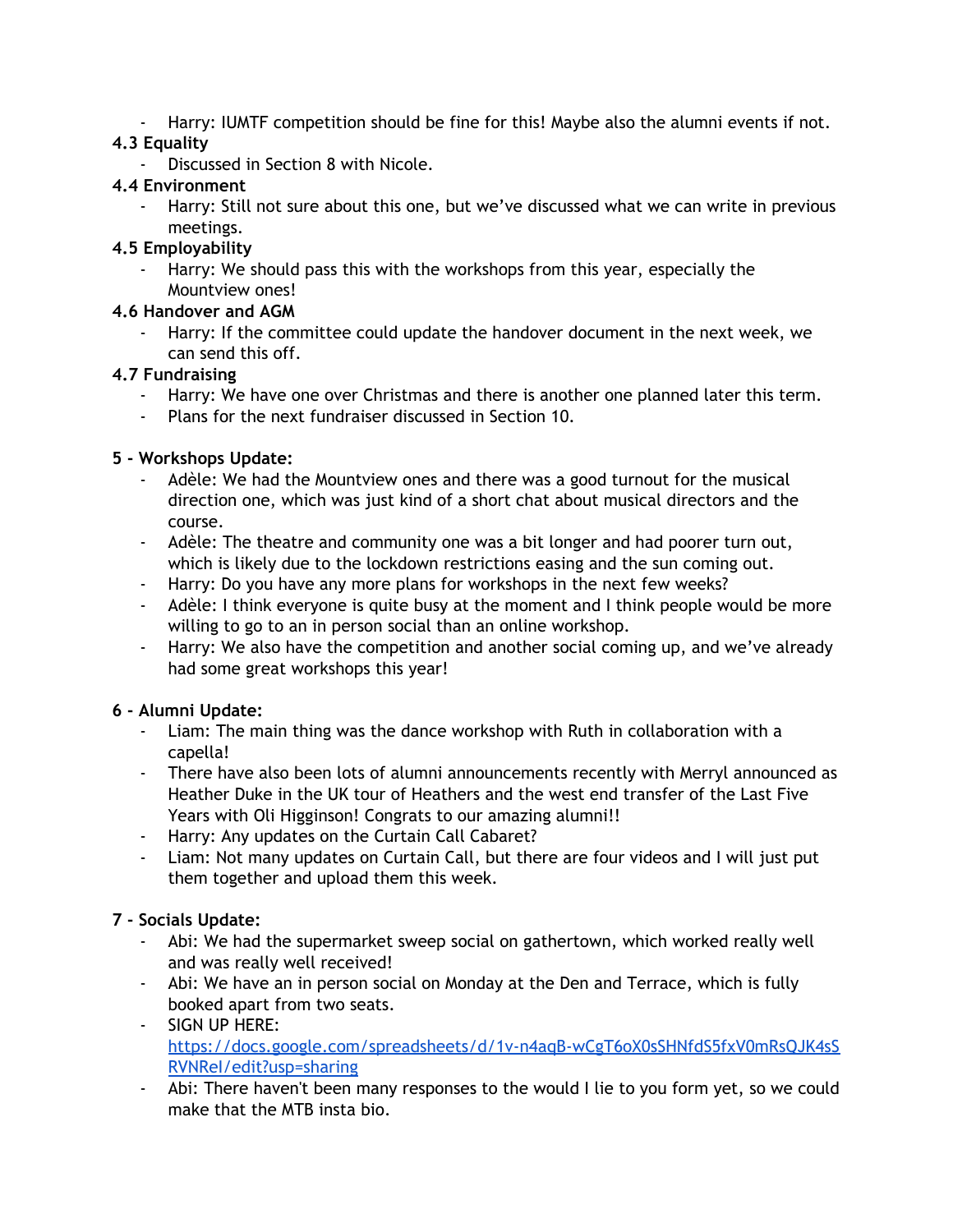- Harry: IUMTF competition should be fine for this! Maybe also the alumni events if not.

# **4.3 Equality**

- Discussed in Section 8 with Nicole.

# **4.4 Environment**

- Harry: Still not sure about this one, but we've discussed what we can write in previous meetings.

# **4.5 Employability**

- Harry: We should pass this with the workshops from this year, especially the Mountview ones!

# **4.6 Handover and AGM**

- Harry: If the committee could update the handover document in the next week, we can send this off.

# **4.7 Fundraising**

- Harry: We have one over Christmas and there is another one planned later this term.
- Plans for the next fundraiser discussed in Section 10.

# **5 - Workshops Update:**

- Adèle: We had the Mountview ones and there was a good turnout for the musical direction one, which was just kind of a short chat about musical directors and the course.
- Adèle: The theatre and community one was a bit longer and had poorer turn out, which is likely due to the lockdown restrictions easing and the sun coming out.
- Harry: Do you have any more plans for workshops in the next few weeks?
- Adèle: I think everyone is quite busy at the moment and I think people would be more willing to go to an in person social than an online workshop.
- Harry: We also have the competition and another social coming up, and we've already had some great workshops this year!

# **6 - Alumni Update:**

- Liam: The main thing was the dance workshop with Ruth in collaboration with a capella!
- There have also been lots of alumni announcements recently with Merryl announced as Heather Duke in the UK tour of Heathers and the west end transfer of the Last Five Years with Oli Higginson! Congrats to our amazing alumni!!
- Harry: Any updates on the Curtain Call Cabaret?
- Liam: Not many updates on Curtain Call, but there are four videos and I will just put them together and upload them this week.

# **7 - Socials Update:**

- Abi: We had the supermarket sweep social on gathertown, which worked really well and was really well received!
- Abi: We have an in person social on Monday at the Den and Terrace, which is fully booked apart from two seats.
- SIGN UP HERE: [https://docs.google.com/spreadsheets/d/1v-n4aqB-wCgT6oX0sSHNfdS5fxV0mRsQJK4sS](https://docs.google.com/spreadsheets/d/1v-n4aqB-wCgT6oX0sSHNfdS5fxV0mRsQJK4sSRVNReI/edit?usp=sharing) [RVNReI/edit?usp=sharing](https://docs.google.com/spreadsheets/d/1v-n4aqB-wCgT6oX0sSHNfdS5fxV0mRsQJK4sSRVNReI/edit?usp=sharing)
- Abi: There haven't been many responses to the would I lie to you form yet, so we could make that the MTB insta bio.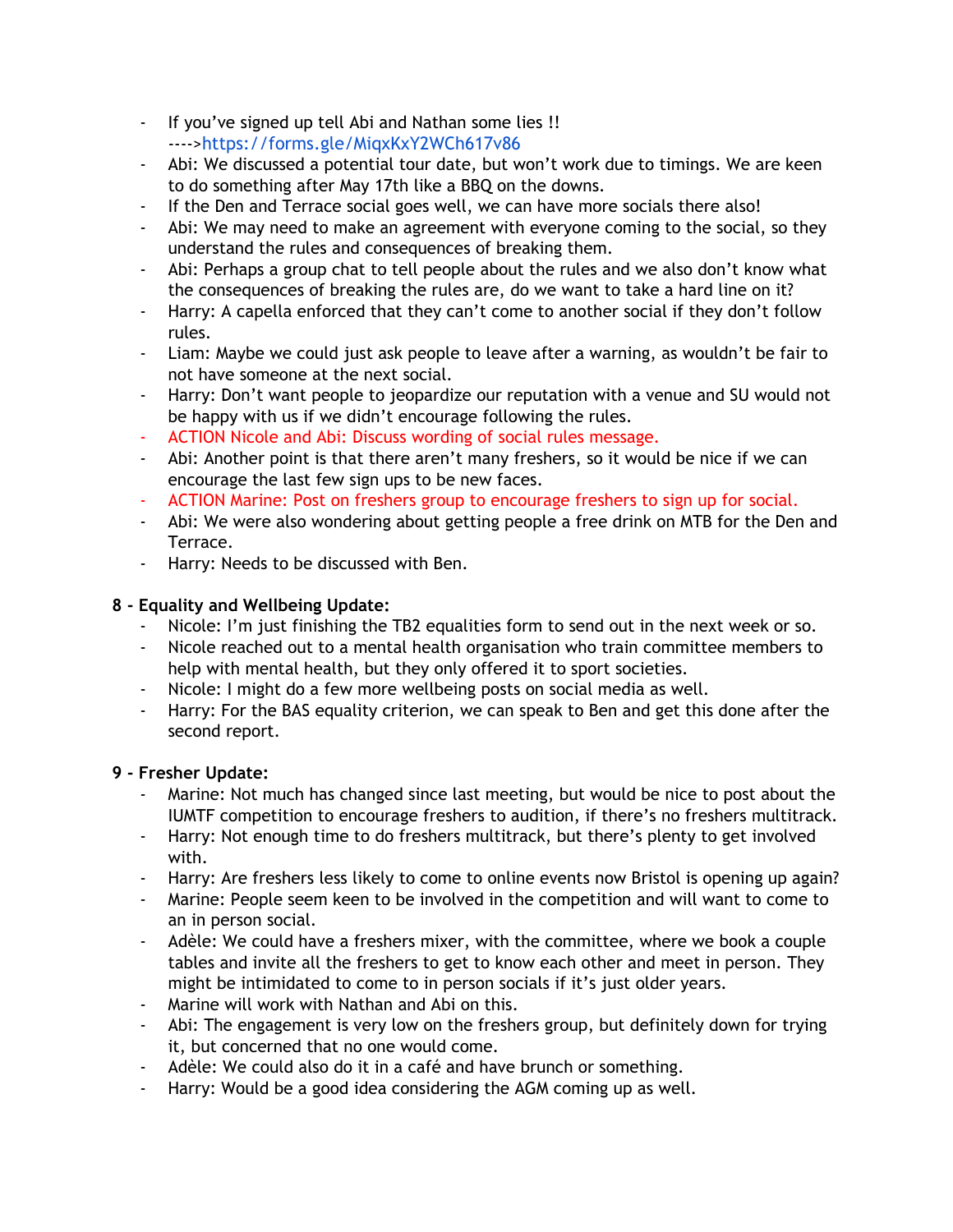- If you've signed up tell Abi and Nathan some lies !! ---->[https://forms.gle/MiqxKxY2WCh617v86](https://forms.gle/MiqxKxY2WCh617v86?fbclid=IwAR0F8CuK2DqvF_uLOh1yDonlMwmpOCRJxo1cAoTgPCR7IpdKUjz3_ZkPI-k)
- Abi: We discussed a potential tour date, but won't work due to timings. We are keen to do something after May 17th like a BBQ on the downs.
- If the Den and Terrace social goes well, we can have more socials there also!
- Abi: We may need to make an agreement with everyone coming to the social, so they understand the rules and consequences of breaking them.
- Abi: Perhaps a group chat to tell people about the rules and we also don't know what the consequences of breaking the rules are, do we want to take a hard line on it?
- Harry: A capella enforced that they can't come to another social if they don't follow rules.
- Liam: Maybe we could just ask people to leave after a warning, as wouldn't be fair to not have someone at the next social.
- Harry: Don't want people to jeopardize our reputation with a venue and SU would not be happy with us if we didn't encourage following the rules.
- ACTION Nicole and Abi: Discuss wording of social rules message.
- Abi: Another point is that there aren't many freshers, so it would be nice if we can encourage the last few sign ups to be new faces.
- ACTION Marine: Post on freshers group to encourage freshers to sign up for social.
- Abi: We were also wondering about getting people a free drink on MTB for the Den and Terrace.
- Harry: Needs to be discussed with Ben.

## **8 - Equality and Wellbeing Update:**

- Nicole: I'm just finishing the TB2 equalities form to send out in the next week or so.
- Nicole reached out to a mental health organisation who train committee members to help with mental health, but they only offered it to sport societies.
- Nicole: I might do a few more wellbeing posts on social media as well.
- Harry: For the BAS equality criterion, we can speak to Ben and get this done after the second report.

## **9 - Fresher Update:**

- Marine: Not much has changed since last meeting, but would be nice to post about the IUMTF competition to encourage freshers to audition, if there's no freshers multitrack.
- Harry: Not enough time to do freshers multitrack, but there's plenty to get involved with.
- Harry: Are freshers less likely to come to online events now Bristol is opening up again?
- Marine: People seem keen to be involved in the competition and will want to come to an in person social.
- Adèle: We could have a freshers mixer, with the committee, where we book a couple tables and invite all the freshers to get to know each other and meet in person. They might be intimidated to come to in person socials if it's just older years.
- Marine will work with Nathan and Abi on this.
- Abi: The engagement is very low on the freshers group, but definitely down for trying it, but concerned that no one would come.
- Adèle: We could also do it in a café and have brunch or something.
- Harry: Would be a good idea considering the AGM coming up as well.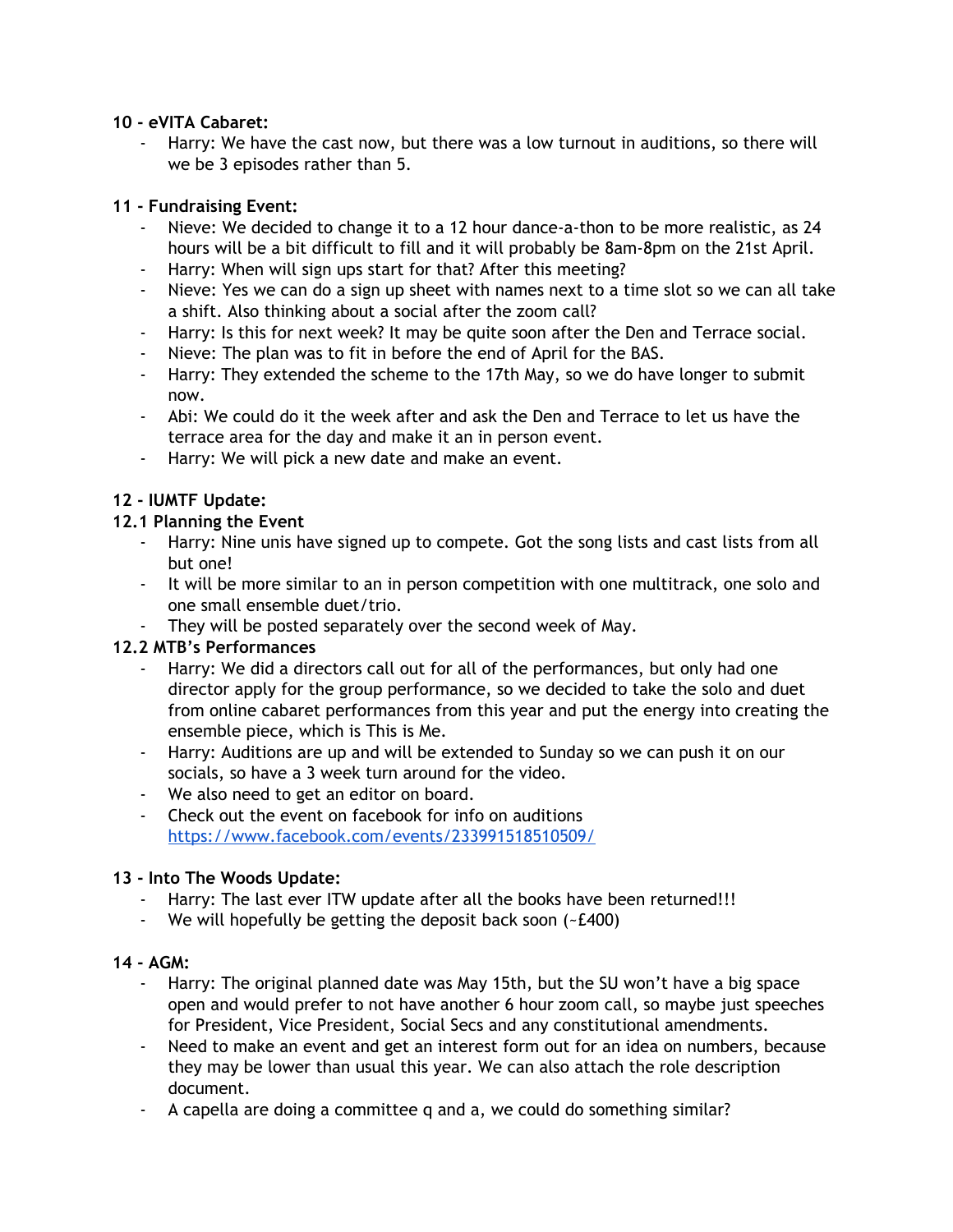## **10 - eVITA Cabaret:**

Harry: We have the cast now, but there was a low turnout in auditions, so there will we be 3 episodes rather than 5.

## **11 - Fundraising Event:**

- Nieve: We decided to change it to a 12 hour dance-a-thon to be more realistic, as 24 hours will be a bit difficult to fill and it will probably be 8am-8pm on the 21st April.
- Harry: When will sign ups start for that? After this meeting?
- Nieve: Yes we can do a sign up sheet with names next to a time slot so we can all take a shift. Also thinking about a social after the zoom call?
- Harry: Is this for next week? It may be quite soon after the Den and Terrace social.
- Nieve: The plan was to fit in before the end of April for the BAS.
- Harry: They extended the scheme to the 17th May, so we do have longer to submit now.
- Abi: We could do it the week after and ask the Den and Terrace to let us have the terrace area for the day and make it an in person event.
- Harry: We will pick a new date and make an event.

# **12 - IUMTF Update:**

# **12.1 Planning the Event**

- Harry: Nine unis have signed up to compete. Got the song lists and cast lists from all but one!
- It will be more similar to an in person competition with one multitrack, one solo and one small ensemble duet/trio.
- They will be posted separately over the second week of May.

# **12.2 MTB's Performances**

- Harry: We did a directors call out for all of the performances, but only had one director apply for the group performance, so we decided to take the solo and duet from online cabaret performances from this year and put the energy into creating the ensemble piece, which is This is Me.
- Harry: Auditions are up and will be extended to Sunday so we can push it on our socials, so have a 3 week turn around for the video.
- We also need to get an editor on board.
- Check out the event on facebook for info on auditions <https://www.facebook.com/events/233991518510509/>

# **13 - Into The Woods Update:**

- Harry: The last ever ITW update after all the books have been returned!!!
- We will hopefully be getting the deposit back soon (~£400)

## **14 - AGM:**

- Harry: The original planned date was May 15th, but the SU won't have a big space open and would prefer to not have another 6 hour zoom call, so maybe just speeches for President, Vice President, Social Secs and any constitutional amendments.
- Need to make an event and get an interest form out for an idea on numbers, because they may be lower than usual this year. We can also attach the role description document.
- A capella are doing a committee q and a, we could do something similar?